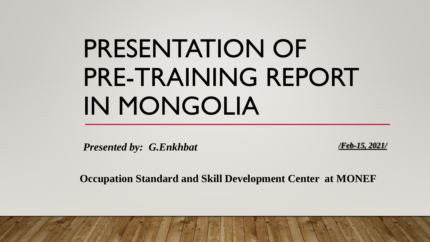# PRESENTATION OF PRE-TRAINING REPORT IN MONGOLIA

*Presented by: G.Enkhbat <i>Presented by: G.Enkhbat* 

**Occupation Standard and Skill Development Center at MONEF**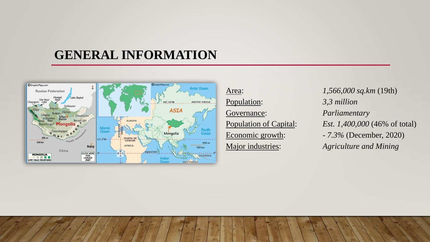### **GENERAL INFORMATION**



- Population: *3,3 million*  Governance: *Parliamentary*
- Area: *1,566,000 sq.km* (19th) Population of Capital: *Est. 1,400,000* (46% of total) Economic growth: *- 7.3%* (December, 2020) Major industries: *Agriculture and Mining*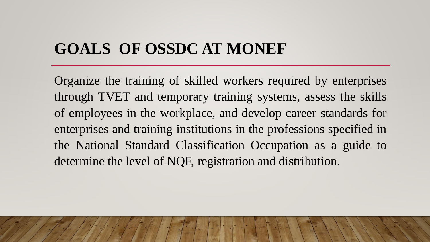# **GOALS OF OSSDC AT MONEF**

Organize the training of skilled workers required by enterprises through TVET and temporary training systems, assess the skills of employees in the workplace, and develop career standards for enterprises and training institutions in the professions specified in the National Standard Classification Occupation as a guide to determine the level of NQF, registration and distribution.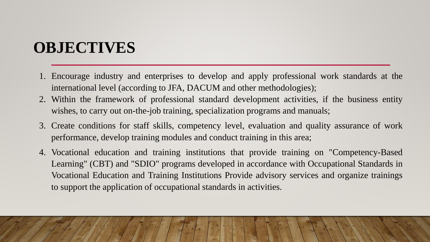# **OBJECTIVES**

- 1. Encourage industry and enterprises to develop and apply professional work standards at the international level (according to JFA, DACUM and other methodologies);
- 2. Within the framework of professional standard development activities, if the business entity wishes, to carry out on-the-job training, specialization programs and manuals;
- 3. Create conditions for staff skills, competency level, evaluation and quality assurance of work performance, develop training modules and conduct training in this area;
- 4. Vocational education and training institutions that provide training on "Competency-Based Learning" (CBT) and "SDIO" programs developed in accordance with Occupational Standards in Vocational Education and Training Institutions Provide advisory services and organize trainings to support the application of occupational standards in activities.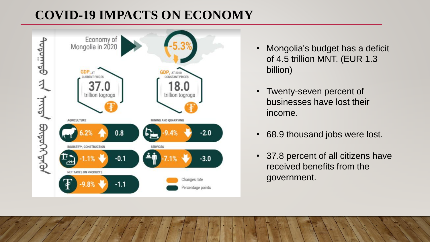# **COVID-19 IMPACTS ON ECONOMY**



- Mongolia's budget has a deficit of 4.5 trillion MNT. (EUR 1.3 billion)
- Twenty-seven percent of businesses have lost their income.
- 68.9 thousand jobs were lost.
- 37.8 percent of all citizens have received benefits from the government.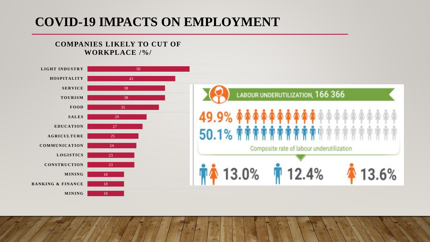### **COVID-19 IMPACTS ON EMPLOYMENT**

#### **COMPANIES LIKELY TO CUT OF WORKPLACE /%/**

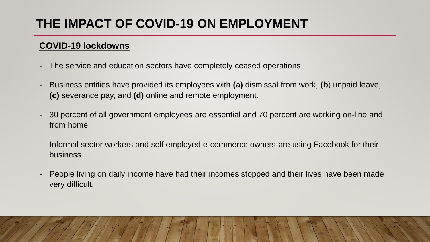# **THE IMPACT OF COVID-19 ON EMPLOYMENT**

#### **COVID-19 lockdowns**

- The service and education sectors have completely ceased operations
- Business entities have provided its employees with **(a)** dismissal from work, **(b**) unpaid leave, **(c)** severance pay, and **(d)** online and remote employment.
- 30 percent of all government employees are essential and 70 percent are working on-line and from home
- Informal sector workers and self employed e-commerce owners are using Facebook for their business.
- People living on daily income have had their incomes stopped and their lives have been made very difficult.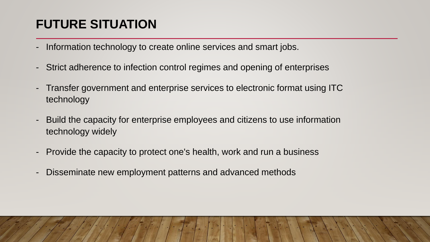# **FUTURE SITUATION**

- Information technology to create online services and smart jobs.
- Strict adherence to infection control regimes and opening of enterprises
- Transfer government and enterprise services to electronic format using ITC technology
- Build the capacity for enterprise employees and citizens to use information technology widely
- Provide the capacity to protect one's health, work and run a business
- Disseminate new employment patterns and advanced methods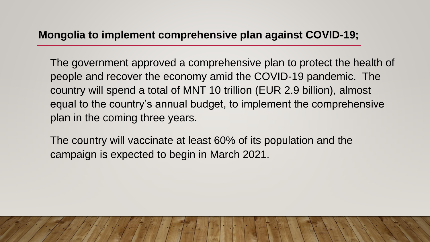#### **Mongolia to implement comprehensive plan against COVID-19;**

The government approved a comprehensive plan to protect the health of people and recover the economy amid the COVID-19 pandemic. The country will spend a total of MNT 10 trillion (EUR 2.9 billion), almost equal to the country's annual budget, to implement the comprehensive plan in the coming three years.

The country will vaccinate at least 60% of its population and the campaign is expected to begin in March 2021.